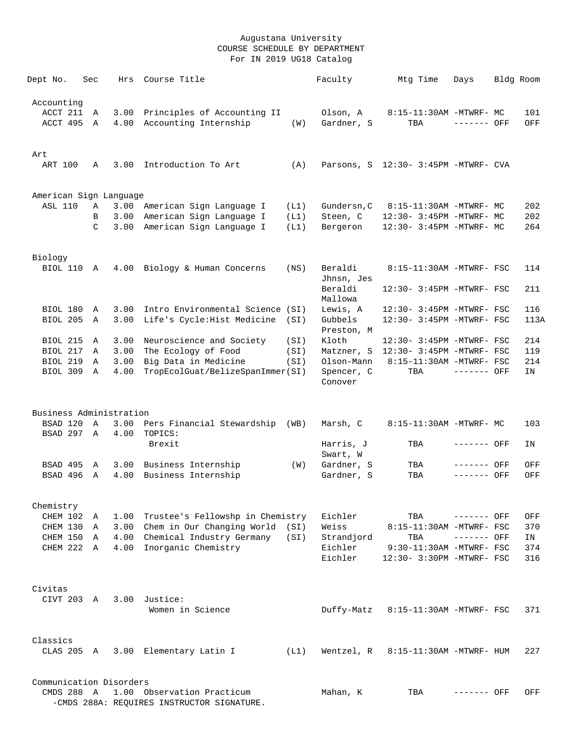| Dept No.                           | Sec           | Hrs          | Course Title                                                             |      | Faculty                | Mtg Time                                              | Days         | Bldg Room  |
|------------------------------------|---------------|--------------|--------------------------------------------------------------------------|------|------------------------|-------------------------------------------------------|--------------|------------|
| Accounting<br>ACCT 211<br>ACCT 495 | Α<br>Α        | 3.00<br>4.00 | Principles of Accounting II<br>Accounting Internship                     | (W)  | Olson, A<br>Gardner, S | 8:15-11:30AM -MTWRF- MC<br>TBA                        | ------- OFF  | 101<br>OFF |
|                                    |               |              |                                                                          |      |                        |                                                       |              |            |
| Art                                |               |              |                                                                          |      |                        |                                                       |              |            |
| ART 100                            | Α             | 3.00         | Introduction To Art                                                      | (A)  |                        | Parsons, S 12:30- 3:45PM -MTWRF- CVA                  |              |            |
| American Sign Language             |               |              |                                                                          |      |                        |                                                       |              |            |
| <b>ASL 110</b>                     | Α             | 3.00         | American Sign Language I                                                 | (L1) | Gundersn, C            | 8:15-11:30AM -MTWRF- MC                               |              | 202        |
|                                    | B             | 3.00         | American Sign Language I                                                 | (L1) | Steen, C               | 12:30- 3:45PM -MTWRF- MC                              |              | 202        |
|                                    | $\mathcal{C}$ | 3.00         | American Sign Language I                                                 | (L1) | Bergeron               | 12:30- 3:45PM -MTWRF- MC                              |              | 264        |
| Biology                            |               |              |                                                                          |      |                        |                                                       |              |            |
| <b>BIOL 110</b>                    | Α             | 4.00         | Biology & Human Concerns                                                 | (NS) | Beraldi<br>Jhnsn, Jes  | 8:15-11:30AM -MTWRF- FSC                              |              | 114        |
|                                    |               |              |                                                                          |      | Beraldi<br>Mallowa     | 12:30- 3:45PM -MTWRF- FSC                             |              | 211        |
| <b>BIOL 180</b>                    | Α             | 3.00         | Intro Environmental Science (SI)                                         |      | Lewis, A               | 12:30- 3:45PM -MTWRF- FSC                             |              | 116        |
| BIOL 205                           | Α             | 3.00         | Life's Cycle: Hist Medicine                                              | (SI) | Gubbels<br>Preston, M  | 12:30- 3:45PM -MTWRF- FSC                             |              | 113A       |
| BIOL 215                           | Α             | 3.00         | Neuroscience and Society                                                 | (SI) | Kloth                  | 12:30- 3:45PM -MTWRF- FSC                             |              | 214        |
| BIOL 217                           | Α             | 3.00         | The Ecology of Food                                                      | (SI) | Matzner, S             | 12:30- 3:45PM -MTWRF- FSC                             |              | 119        |
| <b>BIOL 219</b>                    | Α             | 3.00         | Big Data in Medicine                                                     | (SI) | Olson-Mann             | 8:15-11:30AM -MTWRF- FSC                              |              | 214        |
| <b>BIOL 309</b>                    | Α             | 4.00         | TropEcolGuat/BelizeSpanImmer(SI)                                         |      | Spencer, C<br>Conover  | TBA                                                   | ------- OFF  | IN         |
| Business Administration            |               |              |                                                                          |      |                        |                                                       |              |            |
| BSAD 120                           | $\mathbb{A}$  | 3.00         | Pers Financial Stewardship (WB)                                          |      | Marsh, C               | 8:15-11:30AM -MTWRF- MC                               |              | 103        |
| BSAD 297 A                         |               | 4.00         | TOPICS:<br>Brexit                                                        |      | Harris, J              | TBA                                                   | ------- OFF  | ΙN         |
|                                    |               |              |                                                                          |      | Swart, W               |                                                       |              |            |
| BSAD 495                           | Α             | 3.00         | Business Internship                                                      | (W)  | Gardner, S             | TBA                                                   | ------- OFF  | OFF        |
| BSAD 496                           | Α             | 4.00         | Business Internship                                                      |      | Gardner, S             | TBA                                                   | ------- OFF  | OFF        |
| Chemistry                          |               |              |                                                                          |      |                        |                                                       |              |            |
| CHEM 102                           | Α             | 1.00         | Trustee's Fellowshp in Chemistry                                         |      | Eichler                | TBA                                                   | ------- OFF  | OFF        |
| CHEM 130                           | Α             |              | 3.00 Chem in Our Changing World                                          | (SI) | Weiss                  | 8:15-11:30AM -MTWRF- FSC                              |              | 370        |
| CHEM 150                           | A             |              | 4.00 Chemical Industry Germany                                           | (SI) | Strandjord             | TBA                                                   | $------$ OFF | IN         |
| CHEM 222                           | A             |              | 4.00 Inorganic Chemistry                                                 |      | Eichler<br>Eichler     | 9:30-11:30AM -MTWRF- FSC<br>12:30- 3:30PM -MTWRF- FSC |              | 374<br>316 |
| Civitas                            |               |              |                                                                          |      |                        |                                                       |              |            |
| CIVT 203 A                         |               |              | 3.00 Justice:                                                            |      |                        |                                                       |              |            |
|                                    |               |              | Women in Science                                                         |      | Duffy-Matz             | 8:15-11:30AM -MTWRF- FSC                              |              | 371        |
| Classics                           |               |              |                                                                          |      |                        |                                                       |              |            |
| CLAS 205 A                         |               |              | 3.00 Elementary Latin I                                                  | (L1) | Wentzel, R             | 8:15-11:30AM -MTWRF- HUM                              |              | 227        |
| Communication Disorders            |               |              |                                                                          |      |                        |                                                       |              |            |
| CMDS 288 A                         |               |              | 1.00 Observation Practicum<br>-CMDS 288A: REQUIRES INSTRUCTOR SIGNATURE. |      | Mahan, K               | TBA                                                   | ------- OFF  | OFF        |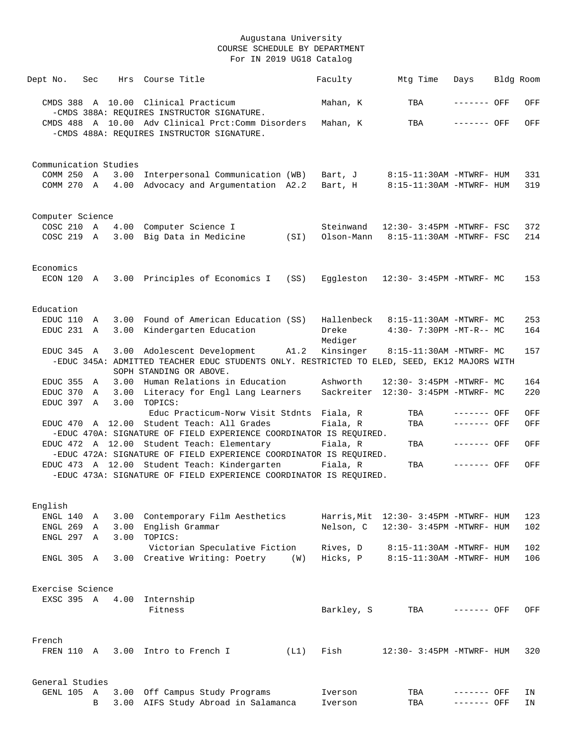| Dept No.   | Sec              |                       | Hrs Course Title                                                                                                       |      | Faculty              | Mtg Time                                             | Days        | Bldg Room |            |
|------------|------------------|-----------------------|------------------------------------------------------------------------------------------------------------------------|------|----------------------|------------------------------------------------------|-------------|-----------|------------|
|            |                  |                       | CMDS 388 A 10.00 Clinical Practicum<br>-CMDS 388A: REQUIRES INSTRUCTOR SIGNATURE.                                      |      | Mahan, K             | TBA                                                  | ------- OFF |           | OFF        |
|            |                  |                       | CMDS 488 A 10.00 Adv Clinical Prct:Comm Disorders                                                                      |      | Mahan, K             | TBA                                                  | ------- OFF |           | OFF        |
|            |                  |                       | -CMDS 488A: REQUIRES INSTRUCTOR SIGNATURE.                                                                             |      |                      |                                                      |             |           |            |
|            |                  | Communication Studies |                                                                                                                        |      |                      |                                                      |             |           |            |
|            | COMM 250 A       |                       | 3.00 Interpersonal Communication (WB)                                                                                  |      | Bart, J              | 8:15-11:30AM -MTWRF- HUM                             |             |           | 331        |
|            | COMM 270 A       |                       | 4.00 Advocacy and Argumentation A2.2                                                                                   |      | Bart, H              | 8:15-11:30AM -MTWRF- HUM                             |             |           | 319        |
|            | Computer Science |                       |                                                                                                                        |      |                      |                                                      |             |           |            |
| COSC 210 A |                  |                       | 4.00 Computer Science I                                                                                                |      | Steinwand            | 12:30- 3:45PM -MTWRF- FSC                            |             |           | 372        |
| COSC 219 A |                  |                       | 3.00 Big Data in Medicine                                                                                              | (SI) | Olson-Mann           | 8:15-11:30AM -MTWRF- FSC                             |             |           | 214        |
| Economics  |                  |                       |                                                                                                                        |      |                      |                                                      |             |           |            |
| ECON 120 A |                  |                       | 3.00 Principles of Economics I                                                                                         | (SS) |                      | Eggleston 12:30- 3:45PM -MTWRF- MC                   |             |           | 153        |
| Education  |                  |                       |                                                                                                                        |      |                      |                                                      |             |           |            |
| EDUC 110 A |                  |                       | 3.00 Found of American Education (SS)                                                                                  |      | Hallenbeck           | 8:15-11:30AM -MTWRF- MC                              |             |           | 253        |
| EDUC 231 A |                  | 3.00                  | Kindergarten Education                                                                                                 |      | Dreke<br>Mediger     | 4:30- 7:30PM -MT-R-- MC                              |             |           | 164        |
| EDUC 345 A |                  |                       | 3.00 Adolescent Development                                                                                            | A1.2 | Kinsinger            | 8:15-11:30AM -MTWRF- MC                              |             |           | 157        |
|            |                  |                       | -EDUC 345A: ADMITTED TEACHER EDUC STUDENTS ONLY. RESTRICTED TO ELED, SEED, EK12 MAJORS WITH<br>SOPH STANDING OR ABOVE. |      |                      |                                                      |             |           |            |
| EDUC 355 A |                  |                       | 3.00 Human Relations in Education                                                                                      |      | Ashworth             | 12:30- 3:45PM -MTWRF- MC                             |             |           | 164        |
| EDUC 370 A |                  |                       | 3.00 Literacy for Engl Lang Learners                                                                                   |      |                      | Sackreiter 12:30- 3:45PM -MTWRF- MC                  |             |           | 220        |
| EDUC 397 A |                  | 3.00                  | TOPICS:<br>Educ Practicum-Norw Visit Stdnts Fiala, R                                                                   |      |                      | TBA                                                  | ------- OFF |           | OFF        |
|            |                  |                       | EDUC 470 A 12.00 Student Teach: All Grades                                                                             |      | Fiala, R             | TBA                                                  | $-----$ OFF |           | OFF        |
|            |                  |                       | -EDUC 470A: SIGNATURE OF FIELD EXPERIENCE COORDINATOR IS REQUIRED.<br>EDUC 472 A 12.00 Student Teach: Elementary       |      |                      |                                                      |             |           |            |
|            |                  |                       | -EDUC 472A: SIGNATURE OF FIELD EXPERIENCE COORDINATOR IS REQUIRED.                                                     |      | Fiala, R             | TBA                                                  | ------- OFF |           | OFF        |
|            |                  |                       | EDUC 473 A 12.00 Student Teach: Kindergarten                                                                           |      | Fiala, R             | TBA                                                  | ------- OFF |           | OFF        |
|            |                  |                       | -EDUC 473A: SIGNATURE OF FIELD EXPERIENCE COORDINATOR IS REOUIRED.                                                     |      |                      |                                                      |             |           |            |
| English    |                  |                       |                                                                                                                        |      |                      |                                                      |             |           |            |
| ENGL 140   | Α                | 3.00                  | Contemporary Film Aesthetics                                                                                           |      |                      | Harris, Mit 12:30- 3:45PM -MTWRF- HUM                |             |           | 123        |
| ENGL 269   | A                | 3.00                  | English Grammar                                                                                                        |      | Nelson, C            | 12:30- 3:45PM -MTWRF- HUM                            |             |           | 102        |
| ENGL 297   | $\overline{A}$   |                       | 3.00 TOPICS:                                                                                                           |      |                      |                                                      |             |           |            |
| ENGL 305 A |                  |                       | Victorian Speculative Fiction<br>3.00 Creative Writing: Poetry                                                         | (W)  | Rives, D<br>Hicks, P | 8:15-11:30AM -MTWRF- HUM<br>8:15-11:30AM -MTWRF- HUM |             |           | 102<br>106 |
|            |                  |                       |                                                                                                                        |      |                      |                                                      |             |           |            |
|            | Exercise Science |                       |                                                                                                                        |      |                      |                                                      |             |           |            |
|            | EXSC 395 A       | 4.00                  | Internship<br>Fitness                                                                                                  |      | Barkley, S           | TBA                                                  | ------- OFF |           | OFF        |
|            |                  |                       |                                                                                                                        |      |                      |                                                      |             |           |            |
| French     |                  |                       |                                                                                                                        |      |                      |                                                      |             |           |            |
| FREN 110 A |                  |                       | 3.00 Intro to French I                                                                                                 | (L1) | Fish                 | 12:30- 3:45PM -MTWRF- HUM                            |             |           | 320        |
|            | General Studies  |                       |                                                                                                                        |      |                      |                                                      |             |           |            |
| GENL 105 A |                  |                       | 3.00 Off Campus Study Programs                                                                                         |      | Iverson              | TBA                                                  | ------- OFF |           | ΙN         |
|            | B                | 3.00                  | AIFS Study Abroad in Salamanca                                                                                         |      | Iverson              | TBA                                                  | ------- OFF |           | ΙN         |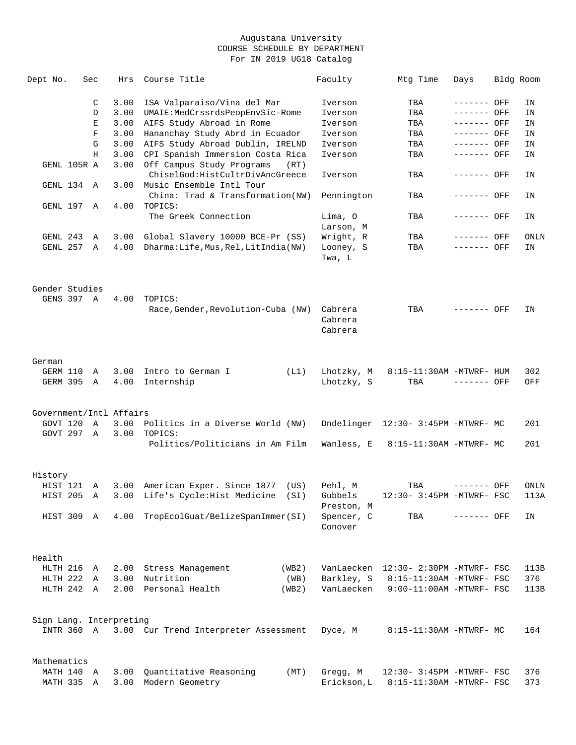| Dept No.                |             | Sec | Hrs          | Course Title                                                          | Faculty                       | Mtg Time                             | Days        | Bldg Room |
|-------------------------|-------------|-----|--------------|-----------------------------------------------------------------------|-------------------------------|--------------------------------------|-------------|-----------|
|                         |             | C   | 3.00         | ISA Valparaiso/Vina del Mar                                           | Iverson                       | TBA                                  | ------- OFF | ΙN        |
|                         |             | D   | 3.00         | UMAIE:MedCrssrdsPeopEnvSic-Rome                                       | Iverson                       | TBA                                  | ------- OFF | ΙN        |
|                         |             | Ε   | 3.00         | AIFS Study Abroad in Rome                                             | Iverson                       | TBA                                  | ------- OFF | ΙN        |
|                         |             | F   | 3.00         | Hananchay Study Abrd in Ecuador                                       | Iverson                       | TBA                                  | ------- OFF | ΙN        |
|                         |             | G   | 3.00         | AIFS Study Abroad Dublin, IRELND                                      | Iverson                       | TBA                                  | ------- OFF | ΙN        |
|                         |             | Н   |              |                                                                       |                               |                                      | ------- OFF |           |
|                         | GENL 105R A |     | 3.00<br>3.00 | CPI Spanish Immersion Costa Rica<br>Off Campus Study Programs<br>(RT) | Iverson                       | TBA                                  |             | ΙN        |
| GENL 134                |             | A   | 3.00         | ChiselGod:HistCultrDivAncGreece<br>Music Ensemble Intl Tour           | Iverson                       | TBA                                  | ------- OFF | ΙN        |
| GENL 197                |             |     | 4.00         | China: Trad & Transformation(NW)<br>TOPICS:                           | Pennington                    | TBA                                  | ------- OFF | ΙN        |
|                         |             | Α   |              | The Greek Connection                                                  | Lima, O                       | TBA                                  | ------- OFF | ΙN        |
|                         |             |     |              |                                                                       | Larson, M                     |                                      |             |           |
| GENL 243                |             | Α   | 3.00         | Global Slavery 10000 BCE-Pr (SS)                                      | Wright, R                     | TBA                                  | ------- OFF | ONLN      |
| GENL 257                |             | Α   | 4.00         | Dharma: Life, Mus, Rel, LitIndia (NW)                                 | Looney, S<br>Twa, L           | TBA                                  | ------- OFF | ΙN        |
| Gender Studies          |             |     |              |                                                                       |                               |                                      |             |           |
|                         | GENS 397 A  |     | 4.00         | TOPICS:                                                               |                               |                                      |             |           |
|                         |             |     |              | Race, Gender, Revolution-Cuba (NW)                                    | Cabrera<br>Cabrera<br>Cabrera | TBA                                  | ------- OFF | ΙN        |
| German                  |             |     |              |                                                                       |                               |                                      |             |           |
| GERM 110                |             | Α   | 3.00         | Intro to German I<br>(L1)                                             | Lhotzky, M                    | 8:15-11:30AM -MTWRF- HUM             |             | 302       |
| GERM 395                |             | Α   | 4.00         | Internship                                                            | Lhotzky, S                    | TBA                                  | ------- OFF | OFF       |
| Government/Intl Affairs |             |     |              |                                                                       |                               |                                      |             |           |
| GOVT 120                |             | Α   | 3.00         | Politics in a Diverse World (NW)                                      | Dndelinger                    | 12:30- 3:45PM -MTWRF- MC             |             | 201       |
|                         | GOVT 297    |     | 3.00         | TOPICS:                                                               |                               |                                      |             |           |
|                         |             | A   |              | Politics/Politicians in Am Film                                       | Wanless, E                    | 8:15-11:30AM -MTWRF- MC              |             | 201       |
|                         |             |     |              |                                                                       |                               |                                      |             |           |
| History                 |             |     |              |                                                                       |                               |                                      |             |           |
| HIST 121                |             | A   | 3.00         | American Exper. Since 1877<br>(US)                                    | Pehl, M                       | TBA                                  | ------- OFF | ONLN      |
| HIST 205                |             | A   |              | 3.00 Life's Cycle: Hist Medicine<br>(SI)                              | Gubbels<br>Preston, M         | $12:30-3:45PM$ -MTWRF- FSC           |             | 113A      |
| HIST 309 A              |             |     |              | 4.00 TropEcolGuat/BelizeSpanImmer(SI)                                 | Spencer, C<br>Conover         | TBA                                  | ------- OFF | ΙN        |
| Health                  |             |     |              |                                                                       |                               |                                      |             |           |
| HLTH 216                |             | A   | 2.00         | Stress Management<br>(WB2)                                            |                               | VanLaecken 12:30- 2:30PM -MTWRF- FSC |             | 113B      |
| HLTH 222                |             | A   | 3.00         | Nutrition<br>(WB)                                                     | Barkley, S                    | 8:15-11:30AM -MTWRF- FSC             |             | 376       |
|                         |             |     |              |                                                                       |                               |                                      |             |           |
| HLTH 242 A              |             |     | 2.00         | Personal Health<br>(WB2)                                              | VanLaecken                    | $9:00-11:00$ AM -MTWRF- FSC          |             | 113B      |
| Sign Lang. Interpreting |             |     |              |                                                                       |                               |                                      |             |           |
|                         | INTR 360 A  |     |              | 3.00 Cur Trend Interpreter Assessment                                 | Dyce, M                       | 8:15-11:30AM -MTWRF- MC              |             | 164       |
| Mathematics             |             |     |              |                                                                       |                               |                                      |             |           |
|                         | MATH 140 A  |     | 3.00         | Quantitative Reasoning<br>(MT)                                        | Gregg, M                      | 12:30- 3:45PM -MTWRF- FSC            |             | 376       |
| MATH 335                |             | Α   | 3.00         | Modern Geometry                                                       | Erickson, L                   | 8:15-11:30AM -MTWRF- FSC             |             | 373       |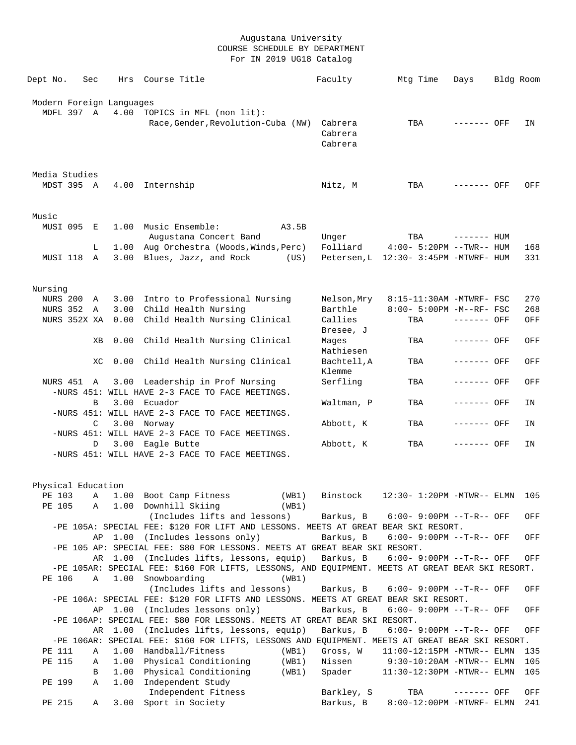| Dept No.                 | Sec | Hrs     | Course Title      |                                                                                                  |       | Faculty        | Mtg Time                              | Days         | Bldg Room |     |
|--------------------------|-----|---------|-------------------|--------------------------------------------------------------------------------------------------|-------|----------------|---------------------------------------|--------------|-----------|-----|
|                          |     |         |                   |                                                                                                  |       |                |                                       |              |           |     |
| Modern Foreign Languages |     |         |                   |                                                                                                  |       |                |                                       |              |           |     |
| MDFL 397 A               |     |         |                   | 4.00 TOPICS in MFL (non lit):                                                                    |       |                |                                       |              |           |     |
|                          |     |         |                   | Race, Gender, Revolution-Cuba (NW)                                                               |       | Cabrera        | TBA                                   | ------- OFF  |           | IN  |
|                          |     |         |                   |                                                                                                  |       | Cabrera        |                                       |              |           |     |
|                          |     |         |                   |                                                                                                  |       | Cabrera        |                                       |              |           |     |
|                          |     |         |                   |                                                                                                  |       |                |                                       |              |           |     |
|                          |     |         |                   |                                                                                                  |       |                |                                       |              |           |     |
| Media Studies            |     |         |                   |                                                                                                  |       |                |                                       |              |           |     |
| MDST 395 A               |     |         | 4.00 Internship   |                                                                                                  |       | Nitz, M        | TBA                                   | ------- OFF  |           | OFF |
|                          |     |         |                   |                                                                                                  |       |                |                                       |              |           |     |
|                          |     |         |                   |                                                                                                  |       |                |                                       |              |           |     |
| Music                    |     |         |                   |                                                                                                  |       |                |                                       |              |           |     |
| MUSI 095                 | E   |         |                   | 1.00 Music Ensemble:                                                                             | A3.5B |                |                                       |              |           |     |
|                          |     |         |                   | Augustana Concert Band                                                                           |       | Unger          | TBA                                   | $------$ HUM |           |     |
|                          | L   | 1.00    |                   | Aug Orchestra (Woods, Winds, Perc)                                                               |       | Folliard       | $4:00-5:20PM$ --TWR-- HUM             |              |           | 168 |
| MUSI 118                 | A   |         |                   | 3.00 Blues, Jazz, and Rock (US)                                                                  |       |                | Petersen, L 12:30- 3:45PM -MTWRF- HUM |              |           | 331 |
|                          |     |         |                   |                                                                                                  |       |                |                                       |              |           |     |
|                          |     |         |                   |                                                                                                  |       |                |                                       |              |           |     |
| Nursing                  |     |         |                   |                                                                                                  |       |                |                                       |              |           |     |
| <b>NURS 200</b>          | A   |         |                   | 3.00 Intro to Professional Nursing                                                               |       | Nelson,Mry     | 8:15-11:30AM -MTWRF- FSC              |              |           | 270 |
| NURS 352 A               |     |         |                   | 3.00 Child Health Nursing                                                                        |       | Barthle        | 8:00- 5:00PM -M--RF- FSC              |              |           | 268 |
| NURS 352X XA             |     |         |                   | 0.00 Child Health Nursing Clinical                                                               |       | Callies        | TBA                                   | ------- OFF  |           | OFF |
|                          |     |         |                   |                                                                                                  |       | Bresee, J      |                                       |              |           |     |
|                          | XВ  |         |                   | 0.00 Child Health Nursing Clinical                                                               |       | Mages          | TBA                                   | ------- OFF  |           | OFF |
|                          |     |         |                   |                                                                                                  |       | Mathiesen      |                                       |              |           |     |
|                          | XC  | 0.00    |                   | Child Health Nursing Clinical                                                                    |       | Bachtell, A    | TBA                                   | ------- OFF  |           | OFF |
|                          |     |         |                   |                                                                                                  |       | Klemme         |                                       |              |           |     |
|                          |     |         |                   |                                                                                                  |       |                |                                       |              |           |     |
| NURS 451 A               |     |         |                   | 3.00 Leadership in Prof Nursing<br>-NURS 451: WILL HAVE 2-3 FACE TO FACE MEETINGS.               |       | Serfling       | TBA                                   | ------- OFF  |           | OFF |
|                          |     |         |                   |                                                                                                  |       |                |                                       |              |           |     |
|                          | B   |         | 3.00 Ecuador      |                                                                                                  |       | Waltman, P     | TBA                                   | ------- OFF  |           | ΙN  |
|                          |     |         |                   | -NURS 451: WILL HAVE 2-3 FACE TO FACE MEETINGS.                                                  |       |                |                                       |              |           |     |
|                          | C   |         | 3.00 Norway       |                                                                                                  |       | Abbott, K      | TBA                                   | ------- OFF  |           | ΙN  |
|                          |     |         |                   | -NURS 451: WILL HAVE 2-3 FACE TO FACE MEETINGS.                                                  |       |                |                                       |              |           |     |
|                          | D   |         | 3.00 Eagle Butte  |                                                                                                  |       | Abbott, K      | TBA                                   | ------- OFF  |           | ΙN  |
|                          |     |         |                   | -NURS 451: WILL HAVE 2-3 FACE TO FACE MEETINGS.                                                  |       |                |                                       |              |           |     |
|                          |     |         |                   |                                                                                                  |       |                |                                       |              |           |     |
|                          |     |         |                   |                                                                                                  |       |                |                                       |              |           |     |
| Physical Education       |     |         |                   |                                                                                                  |       |                |                                       |              |           |     |
|                          |     |         |                   | PE 103 A 1.00 Boot Camp Fitness                                                                  |       | (WB1) Binstock | 12:30- 1:20PM -MTWR-- ELMN 105        |              |           |     |
| PE 105                   | Α   |         |                   | 1.00 Downhill Skiing                                                                             | (WB1) |                |                                       |              |           |     |
|                          |     |         |                   | (Includes lifts and lessons)                                                                     |       | Barkus, B      | $6:00-9:00PM -T-R--OFF$               |              |           | OFF |
|                          |     |         |                   | -PE 105A: SPECIAL FEE: \$120 FOR LIFT AND LESSONS. MEETS AT GREAT BEAR SKI RESORT.               |       |                |                                       |              |           |     |
|                          | AP  | 1.00    |                   | (Includes lessons only)                                                                          |       | Barkus, B      | $6:00 - 9:00PM -T-R--$ OFF            |              |           | OFF |
|                          |     |         |                   | -PE 105 AP: SPECIAL FEE: \$80 FOR LESSONS. MEETS AT GREAT BEAR SKI RESORT.                       |       |                |                                       |              |           |     |
|                          | AR  |         |                   | 1.00 (Includes lifts, lessons, equip)                                                            |       | Barkus, B      | $6:00-9:00PM -T-R--OFF$               |              |           | OFF |
|                          |     |         |                   | -PE 105AR: SPECIAL FEE: \$160 FOR LIFTS, LESSONS, AND EQUIPMENT. MEETS AT GREAT BEAR SKI RESORT. |       |                |                                       |              |           |     |
| PE 106                   | Α   |         | 1.00 Snowboarding |                                                                                                  | (WB1) |                |                                       |              |           |     |
|                          |     |         |                   | (Includes lifts and lessons)                                                                     |       | Barkus, B      | $6:00 - 9:00PM -T-R--$ OFF            |              |           | OFF |
|                          |     |         |                   | -PE 106A: SPECIAL FEE: \$120 FOR LIFTS AND LESSONS. MEETS AT GREAT BEAR SKI RESORT.              |       |                |                                       |              |           |     |
|                          |     | AP 1.00 |                   | (Includes lessons only)                                                                          |       | Barkus, B      | 6:00- 9:00PM --T-R-- OFF              |              |           | OFF |
|                          |     |         |                   | -PE 106AP: SPECIAL FEE: \$80 FOR LESSONS. MEETS AT GREAT BEAR SKI RESORT.                        |       |                |                                       |              |           |     |
|                          | AR  | 1.00    |                   | (Includes lifts, lessons, equip)                                                                 |       | Barkus, B      | 6:00- 9:00PM --T-R-- OFF              |              |           | OFF |
|                          |     |         |                   | -PE 106AR: SPECIAL FEE: \$160 FOR LIFTS, LESSONS AND EQUIPMENT. MEETS AT GREAT BEAR SKI RESORT.  |       |                |                                       |              |           |     |
| PE 111                   | Α   | 1.00    |                   | Handball/Fitness                                                                                 | (WB1) | Gross, W       | $11:00-12:15PM -MTWR-- ELMN$          |              |           | 135 |
| PE 115                   | Α   | 1.00    |                   | Physical Conditioning                                                                            | (WB1) | Nissen         | $9:30-10:20AM - MTWR-- ELMN$          |              |           | 105 |
|                          | В   | 1.00    |                   | Physical Conditioning                                                                            | (WB1) | Spader         | 11:30-12:30PM -MTWR-- ELMN            |              |           | 105 |
| PE 199                   | Α   | 1.00    |                   | Independent Study                                                                                |       |                |                                       |              |           |     |
|                          |     |         |                   | Independent Fitness                                                                              |       | Barkley, S     | TBA                                   | ------- OFF  |           | OFF |
| PE 215                   | Α   | 3.00    |                   | Sport in Society                                                                                 |       | Barkus, B      | 8:00-12:00PM -MTWRF- ELMN             |              |           | 241 |
|                          |     |         |                   |                                                                                                  |       |                |                                       |              |           |     |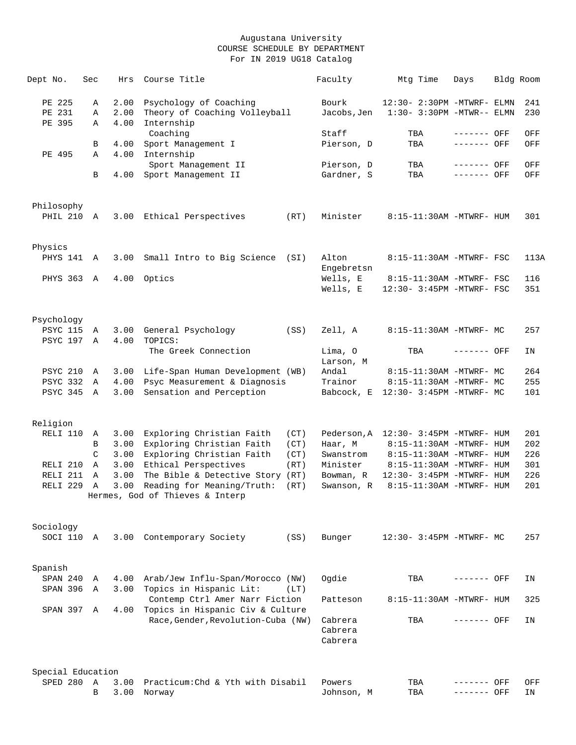| Dept No.                    | Sec               | Hrs          | Course Title                                              |      | Faculty                       | Mtg Time                              | Days                       | Bldg Room  |
|-----------------------------|-------------------|--------------|-----------------------------------------------------------|------|-------------------------------|---------------------------------------|----------------------------|------------|
| PE 225                      | Α                 | 2.00         | Psychology of Coaching                                    |      | Bourk                         | 12:30- 2:30PM -MTWRF- ELMN            |                            | 241        |
| PE 231<br>PE 395            | Α<br>Α            | 2.00<br>4.00 | Theory of Coaching Volleyball<br>Internship<br>Coaching   |      | Jacobs,Jen<br>Staff           | 1:30- 3:30PM -MTWR-- ELMN<br>TBA      | ------- OFF                | 230<br>OFF |
|                             | В                 | 4.00         | Sport Management I                                        |      | Pierson, D                    | TBA                                   | ------- OFF                | OFF        |
| PE 495                      | Α                 | 4.00         | Internship                                                |      |                               |                                       |                            |            |
|                             | B                 | 4.00         | Sport Management II<br>Sport Management II                |      | Pierson, D<br>Gardner, S      | TBA<br>TBA                            | ------- OFF<br>$-----$ OFF | OFF<br>OFF |
|                             |                   |              |                                                           |      |                               |                                       |                            |            |
| Philosophy<br>PHIL 210      | Α                 | 3.00         | Ethical Perspectives                                      | (RT) | Minister                      | 8:15-11:30AM -MTWRF- HUM              |                            | 301        |
|                             |                   |              |                                                           |      |                               |                                       |                            |            |
| Physics                     |                   |              |                                                           |      |                               |                                       |                            |            |
| PHYS 141                    | A                 | 3.00         | Small Intro to Big Science (SI)                           |      | Alton<br>Engebretsn           | 8:15-11:30AM -MTWRF- FSC              |                            | 113A       |
| PHYS 363                    | A                 | 4.00         | Optics                                                    |      | Wells, E                      | 8:15-11:30AM -MTWRF- FSC              |                            | 116        |
|                             |                   |              |                                                           |      | Wells, E                      | 12:30- 3:45PM -MTWRF- FSC             |                            | 351        |
| Psychology                  |                   |              |                                                           |      |                               |                                       |                            |            |
| <b>PSYC 115</b><br>PSYC 197 | Α<br>$\mathbb{A}$ | 3.00<br>4.00 | General Psychology<br>TOPICS:                             | (SS) | Zell, A                       | 8:15-11:30AM -MTWRF- MC               |                            | 257        |
|                             |                   |              | The Greek Connection                                      |      | Lima, O<br>Larson, M          | TBA                                   | ------- OFF                | ΙN         |
| <b>PSYC 210</b>             | A                 | 3.00         | Life-Span Human Development (WB)                          |      | Andal                         | 8:15-11:30AM -MTWRF- MC               |                            | 264        |
| PSYC 332                    | Α                 | 4.00         | Psyc Measurement & Diagnosis                              |      | Trainor                       | 8:15-11:30AM -MTWRF- MC               |                            | 255        |
| PSYC 345                    | A                 | 3.00         | Sensation and Perception                                  |      |                               | Babcock, E 12:30- 3:45PM -MTWRF- MC   |                            | 101        |
| Religion                    |                   |              |                                                           |      |                               |                                       |                            |            |
| RELI 110                    | Α                 | 3.00         | Exploring Christian Faith                                 | (CT) |                               | Pederson, A 12:30- 3:45PM -MTWRF- HUM |                            | 201        |
|                             | В                 | 3.00         | Exploring Christian Faith                                 | (CT) | Haar, M                       | 8:15-11:30AM -MTWRF- HUM              |                            | 202        |
|                             | $\mathcal{C}$     | 3.00         | Exploring Christian Faith                                 | (CT) | Swanstrom                     | 8:15-11:30AM -MTWRF- HUM              |                            | 226        |
| RELI 210                    | Α                 | 3.00         | Ethical Perspectives                                      | (RT) | Minister                      | 8:15-11:30AM -MTWRF- HUM              |                            | 301        |
| RELI 211                    | Α                 | 3.00         | The Bible & Detective Story (RT)                          |      | Bowman, R                     | 12:30- 3:45PM -MTWRF- HUM             |                            | 226        |
| RELI <sub>229</sub>         | $\mathbb{A}$      | 3.00         | Reading for Meaning/Truth:                                | (RT) | Swanson, R                    | 8:15-11:30AM -MTWRF- HUM              |                            | 201        |
|                             |                   |              | Hermes, God of Thieves & Interp                           |      |                               |                                       |                            |            |
| Sociology                   |                   |              |                                                           |      |                               |                                       |                            |            |
| SOCI 110                    | Α                 | 3.00         | Contemporary Society                                      | (SS) | Bunger                        | 12:30- 3:45PM -MTWRF- MC              |                            | 257        |
| Spanish                     |                   |              |                                                           |      |                               |                                       |                            |            |
| SPAN 240                    | Α                 | 4.00         | Arab/Jew Influ-Span/Morocco (NW)                          |      | Ogdie                         | TBA                                   | ------- OFF                | ΙN         |
| SPAN 396                    | Α                 | 3.00         | Topics in Hispanic Lit:<br>Contemp Ctrl Amer Narr Fiction | (LT) | Patteson                      | 8:15-11:30AM -MTWRF- HUM              |                            | 325        |
| SPAN 397                    | Α                 | 4.00         | Topics in Hispanic Civ & Culture                          |      |                               |                                       |                            |            |
|                             |                   |              | Race, Gender, Revolution-Cuba (NW)                        |      | Cabrera<br>Cabrera<br>Cabrera | TBA                                   | ------- OFF                | ΙN         |
| Special Education           |                   |              |                                                           |      |                               |                                       |                            |            |
| SPED 280                    | Α                 | 3.00         | Practicum: Chd & Yth with Disabil                         |      | Powers                        | TBA                                   | ------- OFF                | OFF        |
|                             | В                 | 3.00         | Norway                                                    |      | Johnson, M                    | TBA                                   | ------- OFF                | ΙN         |